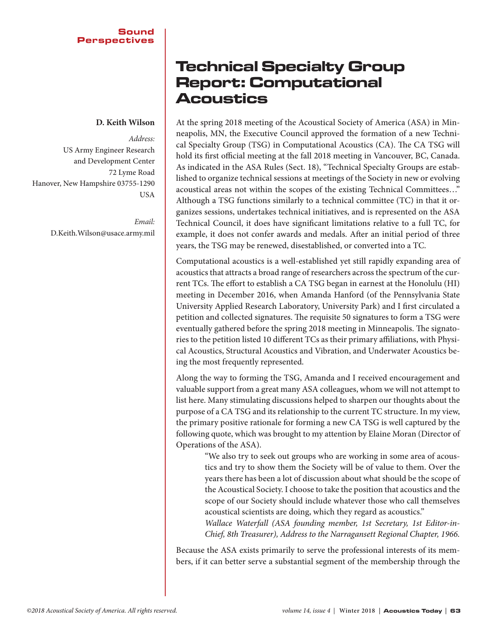## **D. Keith Wilson**

*Address:*  US Army Engineer Research and Development Center 72 Lyme Road Hanover, New Hampshire 03755-1290 USA

> *Email:*  D.Keith.Wilson@usace.army.mil

## Technical Specialty Group Report: Computational Acoustics

At the spring 2018 meeting of the Acoustical Society of America (ASA) in Minneapolis, MN, the Executive Council approved the formation of a new Technical Specialty Group (TSG) in Computational Acoustics (CA). The CA TSG will hold its first official meeting at the fall 2018 meeting in Vancouver, BC, Canada. As indicated in the ASA Rules (Sect. 18), "Technical Specialty Groups are established to organize technical sessions at meetings of the Society in new or evolving acoustical areas not within the scopes of the existing Technical Committees…" Although a TSG functions similarly to a technical committee (TC) in that it organizes sessions, undertakes technical initiatives, and is represented on the ASA Technical Council, it does have significant limitations relative to a full TC, for example, it does not confer awards and medals. After an initial period of three years, the TSG may be renewed, disestablished, or converted into a TC.

Computational acoustics is a well-established yet still rapidly expanding area of acoustics that attracts a broad range of researchers across the spectrum of the current TCs. The effort to establish a CA TSG began in earnest at the Honolulu (HI) meeting in December 2016, when Amanda Hanford (of the Pennsylvania State University Applied Research Laboratory, University Park) and I first circulated a petition and collected signatures. The requisite 50 signatures to form a TSG were eventually gathered before the spring 2018 meeting in Minneapolis. The signatories to the petition listed 10 different TCs as their primary affiliations, with Physical Acoustics, Structural Acoustics and Vibration, and Underwater Acoustics being the most frequently represented.

Along the way to forming the TSG, Amanda and I received encouragement and valuable support from a great many ASA colleagues, whom we will not attempt to list here. Many stimulating discussions helped to sharpen our thoughts about the purpose of a CA TSG and its relationship to the current TC structure. In my view, the primary positive rationale for forming a new CA TSG is well captured by the following quote, which was brought to my attention by Elaine Moran (Director of Operations of the ASA).

> "We also try to seek out groups who are working in some area of acoustics and try to show them the Society will be of value to them. Over the years there has been a lot of discussion about what should be the scope of the Acoustical Society. I choose to take the position that acoustics and the scope of our Society should include whatever those who call themselves acoustical scientists are doing, which they regard as acoustics."

> *Wallace Waterfall (ASA founding member, 1st Secretary, 1st Editor-in-Chief, 8th Treasurer), Address to the Narragansett Regional Chapter, 1966.*

Because the ASA exists primarily to serve the professional interests of its members, if it can better serve a substantial segment of the membership through the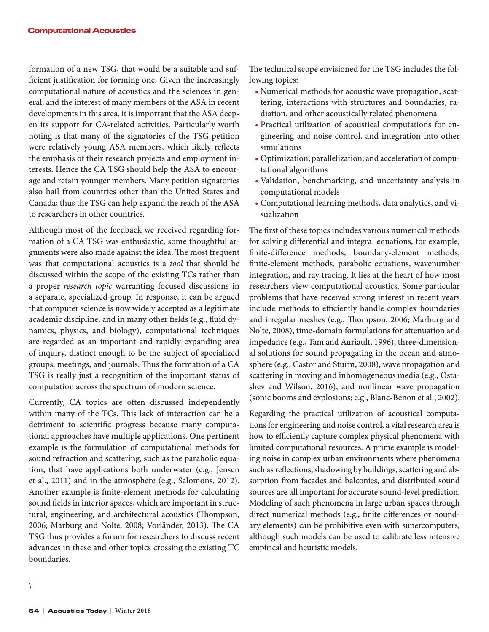formation of a new TSG, that would be a suitable and sufficient justification for forming one. Given the increasingly computational nature of acoustics and the sciences in general, and the interest of many members of the ASA in recent developments in this area, it is important that the ASA deepen its support for CA-related activities. Particularly worth noting is that many of the signatories of the TSG petition were relatively young ASA members, which likely reflects the emphasis of their research projects and employment interests. Hence the CA TSG should help the ASA to encourage and retain younger members. Many petition signatories also hail from countries other than the United States and Canada; thus the TSG can help expand the reach of the ASA to researchers in other countries.

Although most of the feedback we received regarding formation of a CA TSG was enthusiastic, some thoughtful arguments were also made against the idea. The most frequent was that computational acoustics is a *tool* that should be discussed within the scope of the existing TCs rather than a proper *research topic* warranting focused discussions in a separate, specialized group. In response, it can be argued that computer science is now widely accepted as a legitimate academic discipline, and in many other fields (e.g., fluid dynamics, physics, and biology), computational techniques are regarded as an important and rapidly expanding area of inquiry, distinct enough to be the subject of specialized groups, meetings, and journals. Thus the formation of a CA TSG is really just a recognition of the important status of computation across the spectrum of modern science.

Currently, CA topics are often discussed independently within many of the TCs. This lack of interaction can be a detriment to scientific progress because many computational approaches have multiple applications. One pertinent example is the formulation of computational methods for sound refraction and scattering, such as the parabolic equation, that have applications both underwater (e.g., Jensen et al., 2011) and in the atmosphere (e.g., Salomons, 2012). Another example is finite-element methods for calculating sound fields in interior spaces, which are important in structural, engineering, and architectural acoustics (Thompson, 2006; Marburg and Nolte, 2008; Vorländer, 2013). The CA TSG thus provides a forum for researchers to discuss recent advances in these and other topics crossing the existing TC boundaries.

The technical scope envisioned for the TSG includes the following topics:

- Numerical methods for acoustic wave propagation, scattering, interactions with structures and boundaries, radiation, and other acoustically related phenomena
- Practical utilization of acoustical computations for engineering and noise control, and integration into other simulations
- Optimization, parallelization, and acceleration of computational algorithms
- Validation, benchmarking, and uncertainty analysis in computational models
- Computational learning methods, data analytics, and visualization

The first of these topics includes various numerical methods for solving differential and integral equations, for example, finite-difference methods, boundary-element methods, finite-element methods, parabolic equations, wavenumber integration, and ray tracing. It lies at the heart of how most researchers view computational acoustics. Some particular problems that have received strong interest in recent years include methods to efficiently handle complex boundaries and irregular meshes (e.g., Thompson, 2006; Marburg and Nolte, 2008), time-domain formulations for attenuation and impedance (e.g., Tam and Auriault, 1996), three-dimensional solutions for sound propagating in the ocean and atmosphere (e.g., Castor and Sturm, 2008), wave propagation and scattering in moving and inhomogeneous media (e.g., Ostashev and Wilson, 2016), and nonlinear wave propagation (sonic booms and explosions; e.g., Blanc-Benon et al., 2002).

Regarding the practical utilization of acoustical computations for engineering and noise control, a vital research area is how to efficiently capture complex physical phenomena with limited computational resources. A prime example is modeling noise in complex urban environments where phenomena such as reflections, shadowing by buildings, scattering and absorption from facades and balconies, and distributed sound sources are all important for accurate sound-level prediction. Modeling of such phenomena in large urban spaces through direct numerical methods (e.g., finite differences or boundary elements) can be prohibitive even with supercomputers, although such models can be used to calibrate less intensive empirical and heuristic models.